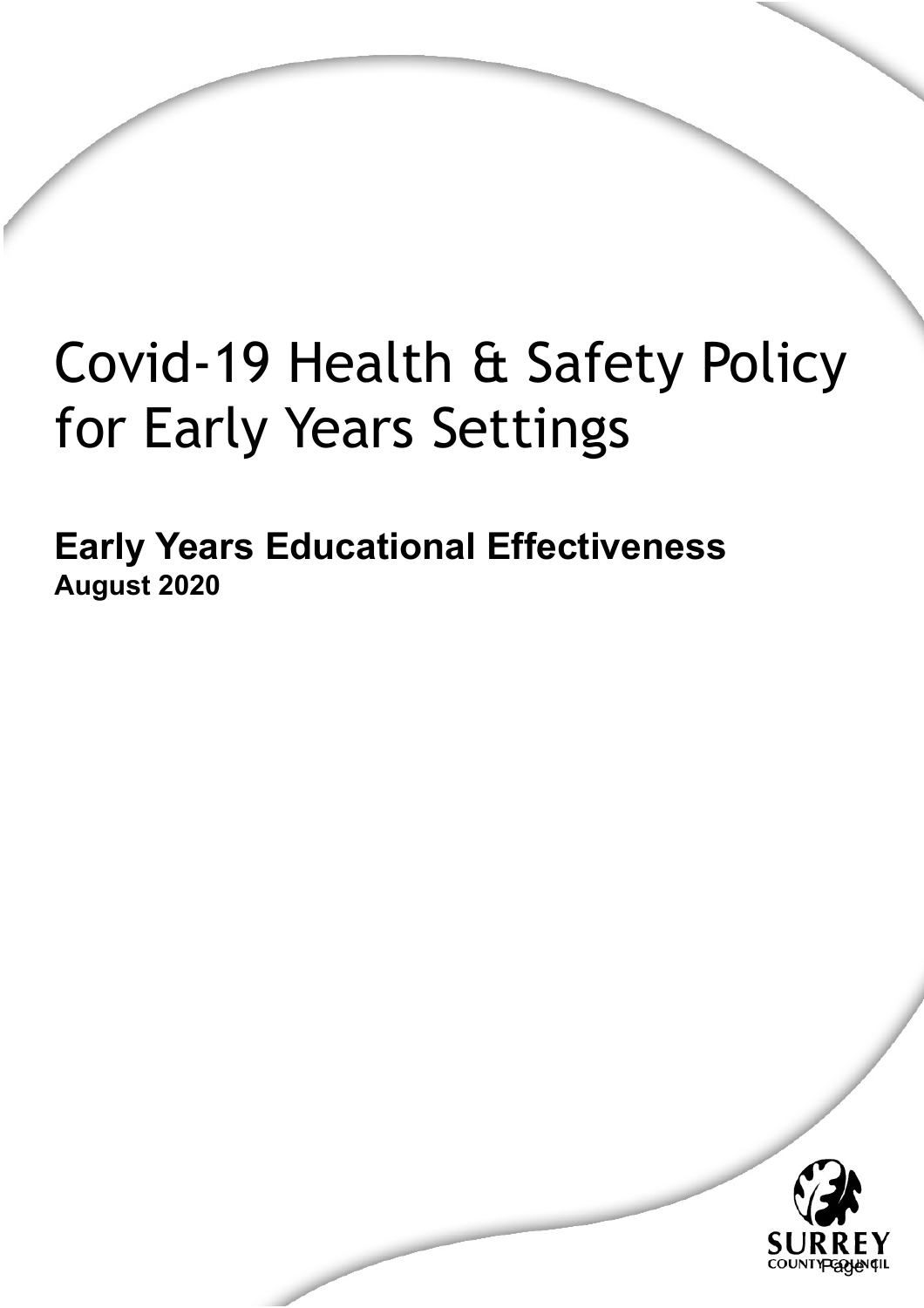# Covid-19 Health & Safety Policy for Early Years Settings

**Early Years Educational Effectiveness August 2020**

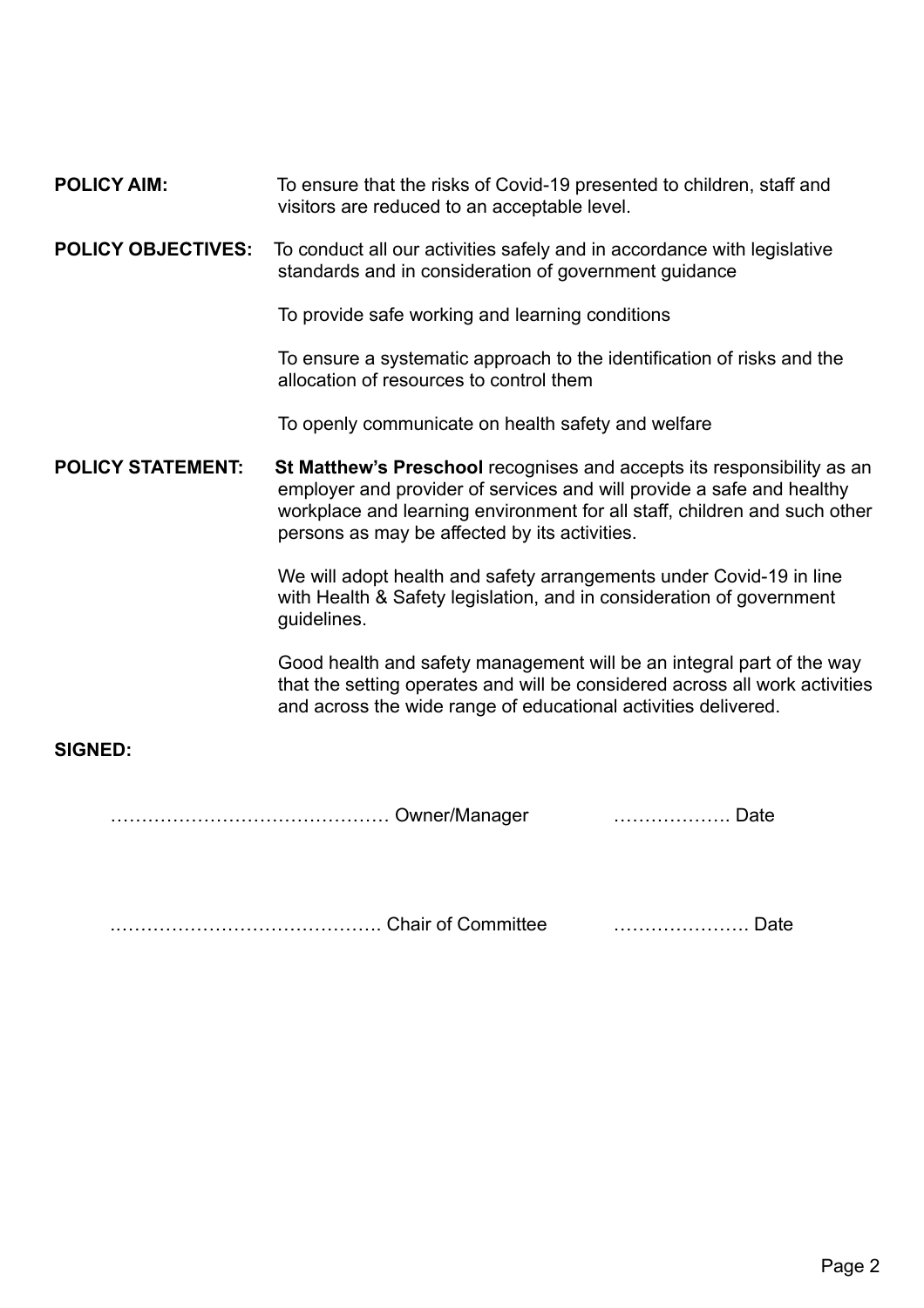### **POLICY AIM:** To ensure that the risks of Covid-19 presented to children, staff and visitors are reduced to an acceptable level.

#### **POLICY OBJECTIVES:** To conduct all our activities safely and in accordance with legislative standards and in consideration of government guidance

To provide safe working and learning conditions

 To ensure a systematic approach to the identification of risks and the allocation of resources to control them

To openly communicate on health safety and welfare

**POLICY STATEMENT:** St Matthew's Preschool recognises and accepts its responsibility as an employer and provider of services and will provide a safe and healthy workplace and learning environment for all staff, children and such other persons as may be affected by its activities.

> We will adopt health and safety arrangements under Covid-19 in line with Health & Safety legislation, and in consideration of government guidelines.

Good health and safety management will be an integral part of the way that the setting operates and will be considered across all work activities and across the wide range of educational activities delivered.

## **SIGNED:**

……………………………………… Owner/Manager ………………. Date

.……………………………………. Chair of Committee …………………. Date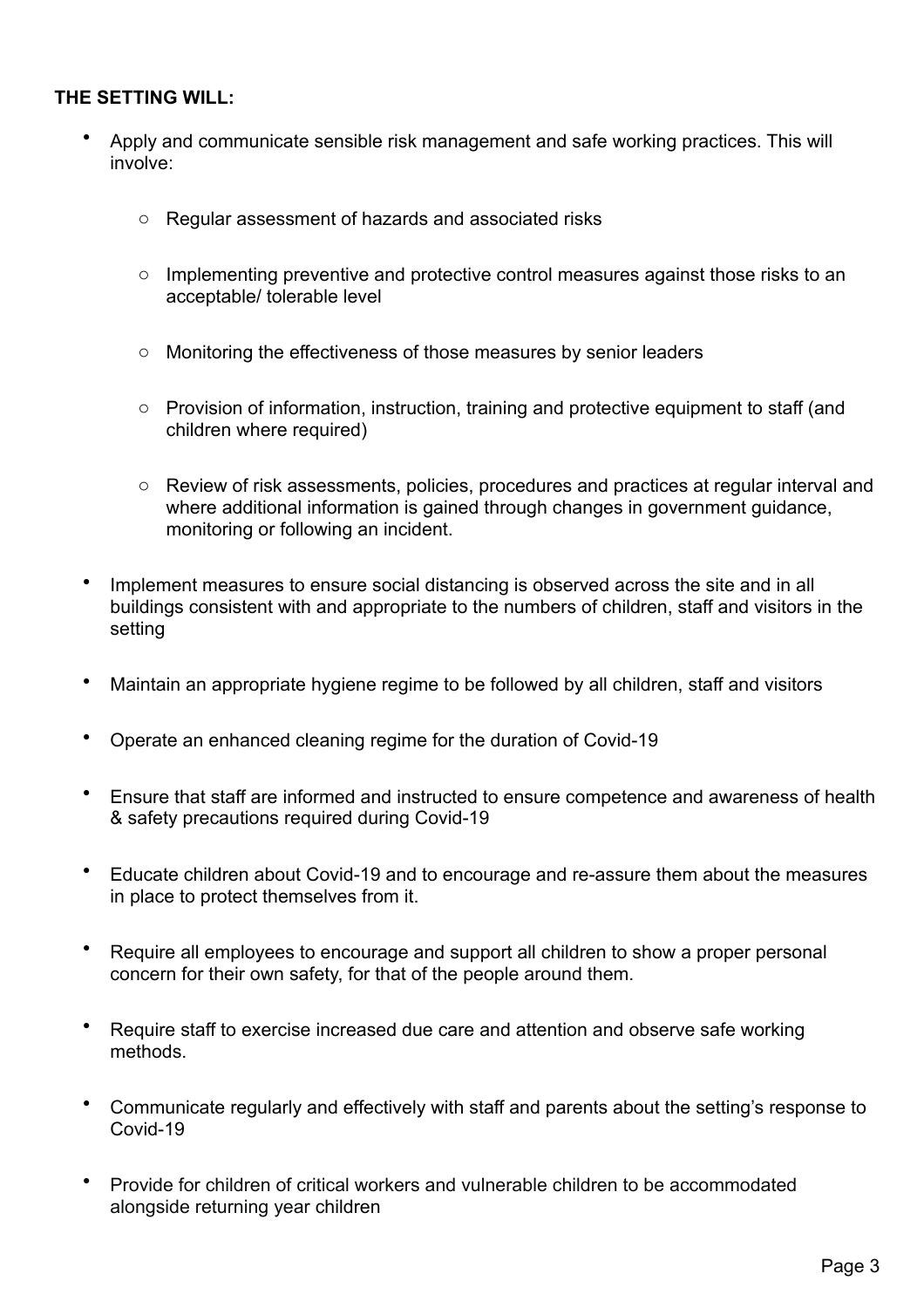## **THE SETTING WILL:**

- Apply and communicate sensible risk management and safe working practices. This will involve:
	- o Regular assessment of hazards and associated risks
	- o Implementing preventive and protective control measures against those risks to an acceptable/ tolerable level
	- o Monitoring the effectiveness of those measures by senior leaders
	- o Provision of information, instruction, training and protective equipment to staff (and children where required)
	- o Review of risk assessments, policies, procedures and practices at regular interval and where additional information is gained through changes in government guidance, monitoring or following an incident.
- Implement measures to ensure social distancing is observed across the site and in all buildings consistent with and appropriate to the numbers of children, staff and visitors in the setting
- Maintain an appropriate hygiene regime to be followed by all children, staff and visitors
- Operate an enhanced cleaning regime for the duration of Covid-19
- Ensure that staff are informed and instructed to ensure competence and awareness of health & safety precautions required during Covid-19
- Educate children about Covid-19 and to encourage and re-assure them about the measures in place to protect themselves from it.
- Require all employees to encourage and support all children to show a proper personal concern for their own safety, for that of the people around them.
- Require staff to exercise increased due care and attention and observe safe working methods.
- Communicate regularly and effectively with staff and parents about the setting's response to Covid-19
- Provide for children of critical workers and vulnerable children to be accommodated alongside returning year children